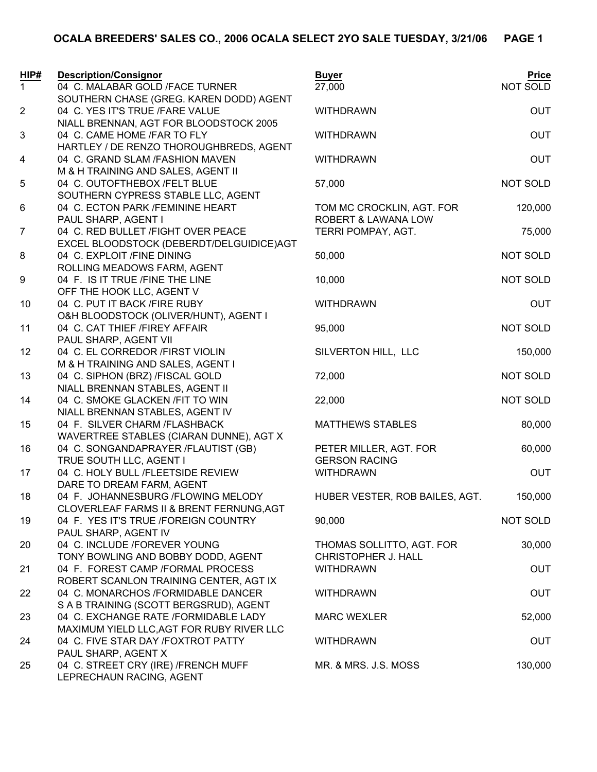| HIP#           | <b>Description/Consignor</b>                                    | <b>Buyer</b>                                     | <b>Price</b>    |
|----------------|-----------------------------------------------------------------|--------------------------------------------------|-----------------|
| $\mathbf{1}$   | 04 C. MALABAR GOLD /FACE TURNER                                 | 27,000                                           | NOT SOLD        |
|                | SOUTHERN CHASE (GREG. KAREN DODD) AGENT                         |                                                  |                 |
| $\overline{2}$ | 04 C. YES IT'S TRUE /FARE VALUE                                 | <b>WITHDRAWN</b>                                 | <b>OUT</b>      |
|                | NIALL BRENNAN, AGT FOR BLOODSTOCK 2005                          |                                                  |                 |
| $\mathsf 3$    | 04 C. CAME HOME /FAR TO FLY                                     | <b>WITHDRAWN</b>                                 | <b>OUT</b>      |
|                | HARTLEY / DE RENZO THOROUGHBREDS, AGENT                         |                                                  |                 |
| 4              | 04 C. GRAND SLAM /FASHION MAVEN                                 | <b>WITHDRAWN</b>                                 | <b>OUT</b>      |
|                | M & H TRAINING AND SALES, AGENT II                              |                                                  |                 |
| 5              | 04 C. OUTOFTHEBOX /FELT BLUE                                    | 57,000                                           | NOT SOLD        |
|                | SOUTHERN CYPRESS STABLE LLC, AGENT                              |                                                  |                 |
| 6              | 04 C. ECTON PARK /FEMININE HEART<br>PAUL SHARP, AGENT I         | TOM MC CROCKLIN, AGT. FOR<br>ROBERT & LAWANA LOW | 120,000         |
| $\overline{7}$ | 04 C. RED BULLET /FIGHT OVER PEACE                              | TERRI POMPAY, AGT.                               | 75,000          |
|                | EXCEL BLOODSTOCK (DEBERDT/DELGUIDICE)AGT                        |                                                  |                 |
| 8              | 04 C. EXPLOIT /FINE DINING                                      | 50,000                                           | NOT SOLD        |
|                | ROLLING MEADOWS FARM, AGENT                                     |                                                  |                 |
| 9              | 04 F. IS IT TRUE /FINE THE LINE                                 | 10,000                                           | NOT SOLD        |
|                | OFF THE HOOK LLC, AGENT V                                       |                                                  |                 |
| 10             | 04 C. PUT IT BACK /FIRE RUBY                                    | <b>WITHDRAWN</b>                                 | <b>OUT</b>      |
|                | O&H BLOODSTOCK (OLIVER/HUNT), AGENT I                           |                                                  |                 |
| 11             | 04 C. CAT THIEF /FIREY AFFAIR                                   | 95,000                                           | <b>NOT SOLD</b> |
|                | PAUL SHARP, AGENT VII                                           |                                                  |                 |
| 12             | 04 C. EL CORREDOR /FIRST VIOLIN                                 | SILVERTON HILL, LLC                              | 150,000         |
|                | M & H TRAINING AND SALES, AGENT I                               |                                                  |                 |
| 13             | 04 C. SIPHON (BRZ) /FISCAL GOLD                                 | 72,000                                           | NOT SOLD        |
|                | NIALL BRENNAN STABLES, AGENT II                                 |                                                  |                 |
| 14             | 04 C. SMOKE GLACKEN / FIT TO WIN                                | 22,000                                           | NOT SOLD        |
|                | NIALL BRENNAN STABLES, AGENT IV                                 |                                                  |                 |
| 15             | 04 F. SILVER CHARM /FLASHBACK                                   | <b>MATTHEWS STABLES</b>                          | 80,000          |
|                | WAVERTREE STABLES (CIARAN DUNNE), AGT X                         |                                                  |                 |
| 16             | 04 C. SONGANDAPRAYER /FLAUTIST (GB)                             | PETER MILLER, AGT. FOR                           | 60,000          |
| 17             | TRUE SOUTH LLC, AGENT I<br>04 C. HOLY BULL /FLEETSIDE REVIEW    | <b>GERSON RACING</b><br><b>WITHDRAWN</b>         | <b>OUT</b>      |
|                | DARE TO DREAM FARM, AGENT                                       |                                                  |                 |
| 18             | 04 F. JOHANNESBURG /FLOWING MELODY                              | HUBER VESTER, ROB BAILES, AGT.                   | 150,000         |
|                | CLOVERLEAF FARMS II & BRENT FERNUNG, AGT                        |                                                  |                 |
| 19             | 04 F. YES IT'S TRUE /FOREIGN COUNTRY                            | 90,000                                           | NOT SOLD        |
|                | PAUL SHARP, AGENT IV                                            |                                                  |                 |
| 20             | 04 C. INCLUDE /FOREVER YOUNG                                    | THOMAS SOLLITTO, AGT. FOR                        | 30,000          |
|                | TONY BOWLING AND BOBBY DODD, AGENT                              | <b>CHRISTOPHER J. HALL</b>                       |                 |
| 21             | 04 F. FOREST CAMP /FORMAL PROCESS                               | <b>WITHDRAWN</b>                                 | <b>OUT</b>      |
|                | ROBERT SCANLON TRAINING CENTER, AGT IX                          |                                                  |                 |
| 22             | 04 C. MONARCHOS /FORMIDABLE DANCER                              | <b>WITHDRAWN</b>                                 | <b>OUT</b>      |
|                | S A B TRAINING (SCOTT BERGSRUD), AGENT                          |                                                  |                 |
| 23             | 04 C. EXCHANGE RATE /FORMIDABLE LADY                            | <b>MARC WEXLER</b>                               | 52,000          |
|                | MAXIMUM YIELD LLC, AGT FOR RUBY RIVER LLC                       |                                                  |                 |
| 24             | 04 C. FIVE STAR DAY /FOXTROT PATTY                              | <b>WITHDRAWN</b>                                 | <b>OUT</b>      |
|                | PAUL SHARP, AGENT X                                             |                                                  |                 |
| 25             | 04 C. STREET CRY (IRE) /FRENCH MUFF<br>LEPRECHAUN RACING, AGENT | MR. & MRS. J.S. MOSS                             | 130,000         |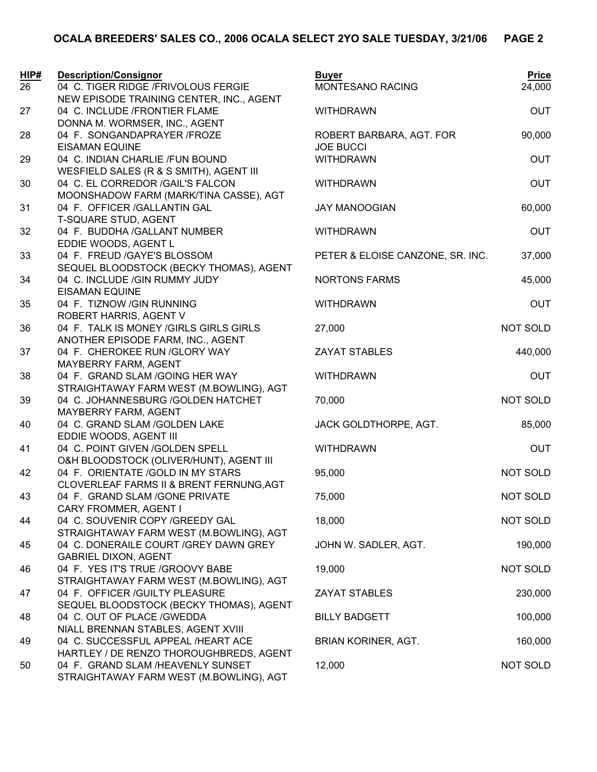| HIP# | <b>Description/Consignor</b>                                                    | <b>Buyer</b>                     | <b>Price</b>    |
|------|---------------------------------------------------------------------------------|----------------------------------|-----------------|
| 26   | 04 C. TIGER RIDGE /FRIVOLOUS FERGIE<br>NEW EPISODE TRAINING CENTER, INC., AGENT | MONTESANO RACING                 | 24,000          |
| 27   | 04 C. INCLUDE /FRONTIER FLAME                                                   | <b>WITHDRAWN</b>                 | <b>OUT</b>      |
|      | DONNA M. WORMSER, INC., AGENT                                                   |                                  |                 |
| 28   | 04 F. SONGANDAPRAYER /FROZE                                                     | ROBERT BARBARA, AGT. FOR         | 90,000          |
|      | <b>EISAMAN EQUINE</b>                                                           | <b>JOE BUCCI</b>                 |                 |
| 29   | 04 C. INDIAN CHARLIE /FUN BOUND                                                 | <b>WITHDRAWN</b>                 | <b>OUT</b>      |
|      | WESFIELD SALES (R & S SMITH), AGENT III                                         |                                  |                 |
| 30   | 04 C. EL CORREDOR / GAIL'S FALCON                                               | <b>WITHDRAWN</b>                 | <b>OUT</b>      |
|      | MOONSHADOW FARM (MARK/TINA CASSE), AGT                                          |                                  |                 |
| 31   | 04 F. OFFICER / GALLANTIN GAL                                                   | <b>JAY MANOOGIAN</b>             | 60,000          |
|      | T-SQUARE STUD, AGENT                                                            |                                  |                 |
| 32   | 04 F. BUDDHA / GALLANT NUMBER                                                   | <b>WITHDRAWN</b>                 | <b>OUT</b>      |
| 33   | EDDIE WOODS, AGENT L<br>04 F. FREUD /GAYE'S BLOSSOM                             | PETER & ELOISE CANZONE, SR. INC. | 37,000          |
|      | SEQUEL BLOODSTOCK (BECKY THOMAS), AGENT                                         |                                  |                 |
| 34   | 04 C. INCLUDE / GIN RUMMY JUDY                                                  | <b>NORTONS FARMS</b>             | 45,000          |
|      | <b>EISAMAN EQUINE</b>                                                           |                                  |                 |
| 35   | 04 F. TIZNOW / GIN RUNNING                                                      | <b>WITHDRAWN</b>                 | <b>OUT</b>      |
|      | ROBERT HARRIS, AGENT V                                                          |                                  |                 |
| 36   | 04 F. TALK IS MONEY / GIRLS GIRLS GIRLS                                         | 27,000                           | NOT SOLD        |
|      | ANOTHER EPISODE FARM, INC., AGENT                                               |                                  |                 |
| 37   | 04 F. CHEROKEE RUN / GLORY WAY                                                  | <b>ZAYAT STABLES</b>             | 440,000         |
|      | MAYBERRY FARM, AGENT                                                            |                                  |                 |
| 38   | 04 F. GRAND SLAM / GOING HER WAY                                                | <b>WITHDRAWN</b>                 | <b>OUT</b>      |
|      | STRAIGHTAWAY FARM WEST (M.BOWLING), AGT                                         |                                  |                 |
| 39   | 04 C. JOHANNESBURG / GOLDEN HATCHET<br>MAYBERRY FARM, AGENT                     | 70,000                           | NOT SOLD        |
| 40   | 04 C. GRAND SLAM / GOLDEN LAKE                                                  | JACK GOLDTHORPE, AGT.            | 85,000          |
|      | EDDIE WOODS, AGENT III                                                          |                                  |                 |
| 41   | 04 C. POINT GIVEN / GOLDEN SPELL                                                | <b>WITHDRAWN</b>                 | <b>OUT</b>      |
|      | O&H BLOODSTOCK (OLIVER/HUNT), AGENT III                                         |                                  |                 |
| 42   | 04 F. ORIENTATE / GOLD IN MY STARS                                              | 95,000                           | <b>NOT SOLD</b> |
|      | CLOVERLEAF FARMS II & BRENT FERNUNG, AGT                                        |                                  |                 |
| 43   | 04 F. GRAND SLAM / GONE PRIVATE                                                 | 75,000                           | NOT SOLD        |
|      | CARY FROMMER, AGENT I                                                           |                                  |                 |
| 44   | 04 C. SOUVENIR COPY / GREEDY GAL                                                | 18,000                           | NOT SOLD        |
|      | STRAIGHTAWAY FARM WEST (M.BOWLING), AGT                                         |                                  |                 |
| 45   | 04 C. DONERAILE COURT / GREY DAWN GREY                                          | JOHN W. SADLER, AGT.             | 190,000         |
| 46   | <b>GABRIEL DIXON, AGENT</b><br>04 F. YES IT'S TRUE /GROOVY BABE                 | 19,000                           | NOT SOLD        |
|      | STRAIGHTAWAY FARM WEST (M.BOWLING), AGT                                         |                                  |                 |
| 47   | 04 F. OFFICER / GUILTY PLEASURE                                                 | <b>ZAYAT STABLES</b>             | 230,000         |
|      | SEQUEL BLOODSTOCK (BECKY THOMAS), AGENT                                         |                                  |                 |
| 48   | 04 C. OUT OF PLACE / GWEDDA                                                     | <b>BILLY BADGETT</b>             | 100,000         |
|      | NIALL BRENNAN STABLES, AGENT XVIII                                              |                                  |                 |
| 49   | 04 C. SUCCESSFUL APPEAL /HEART ACE                                              | <b>BRIAN KORINER, AGT.</b>       | 160,000         |
|      | HARTLEY / DE RENZO THOROUGHBREDS, AGENT                                         |                                  |                 |
| 50   | 04 F. GRAND SLAM /HEAVENLY SUNSET                                               | 12,000                           | NOT SOLD        |
|      | STRAIGHTAWAY FARM WEST (M.BOWLING), AGT                                         |                                  |                 |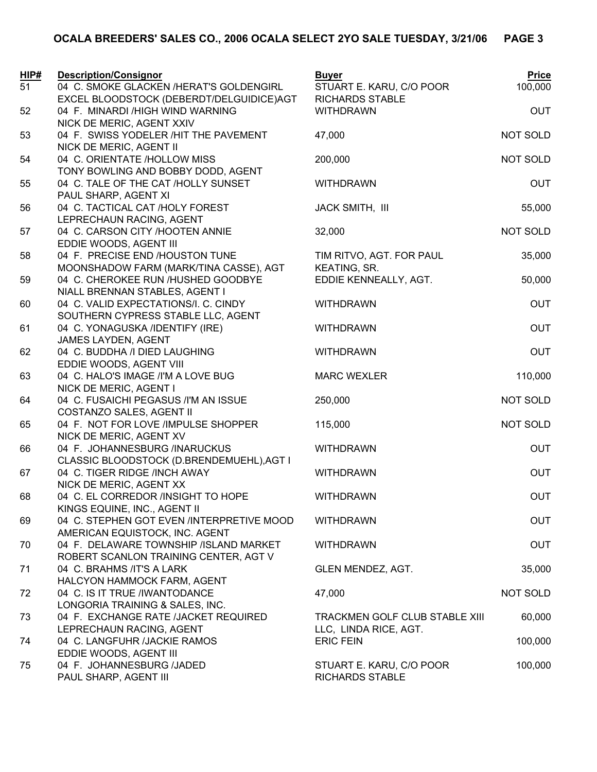| HIP# | <b>Description/Consignor</b>                                       | <b>Buyer</b>                   | <b>Price</b>    |
|------|--------------------------------------------------------------------|--------------------------------|-----------------|
| 51   | 04 C. SMOKE GLACKEN /HERAT'S GOLDENGIRL                            | STUART E. KARU, C/O POOR       | 100,000         |
|      | EXCEL BLOODSTOCK (DEBERDT/DELGUIDICE)AGT                           | <b>RICHARDS STABLE</b>         |                 |
| 52   | 04 F. MINARDI /HIGH WIND WARNING                                   | <b>WITHDRAWN</b>               | <b>OUT</b>      |
|      | NICK DE MERIC, AGENT XXIV                                          |                                |                 |
| 53   | 04 F. SWISS YODELER /HIT THE PAVEMENT                              | 47,000                         | <b>NOT SOLD</b> |
|      | NICK DE MERIC, AGENT II                                            |                                |                 |
| 54   | 04 C. ORIENTATE /HOLLOW MISS<br>TONY BOWLING AND BOBBY DODD, AGENT | 200,000                        | NOT SOLD        |
| 55   | 04 C. TALE OF THE CAT /HOLLY SUNSET                                | <b>WITHDRAWN</b>               | <b>OUT</b>      |
|      | PAUL SHARP, AGENT XI                                               |                                |                 |
| 56   | 04 C. TACTICAL CAT /HOLY FOREST                                    | JACK SMITH, III                | 55,000          |
|      | LEPRECHAUN RACING, AGENT                                           |                                |                 |
| 57   | 04 C. CARSON CITY /HOOTEN ANNIE                                    | 32,000                         | NOT SOLD        |
|      | EDDIE WOODS, AGENT III                                             |                                |                 |
| 58   | 04 F. PRECISE END /HOUSTON TUNE                                    | TIM RITVO, AGT. FOR PAUL       | 35,000          |
|      | MOONSHADOW FARM (MARK/TINA CASSE), AGT                             | KEATING, SR.                   |                 |
| 59   | 04 C. CHEROKEE RUN /HUSHED GOODBYE                                 | EDDIE KENNEALLY, AGT.          | 50,000          |
|      | NIALL BRENNAN STABLES, AGENT I                                     |                                |                 |
| 60   | 04 C. VALID EXPECTATIONS/I. C. CINDY                               | <b>WITHDRAWN</b>               | <b>OUT</b>      |
|      | SOUTHERN CYPRESS STABLE LLC, AGENT                                 |                                |                 |
| 61   | 04 C. YONAGUSKA /IDENTIFY (IRE)                                    | <b>WITHDRAWN</b>               | <b>OUT</b>      |
|      | JAMES LAYDEN, AGENT                                                |                                |                 |
| 62   | 04 C. BUDDHA /I DIED LAUGHING                                      | <b>WITHDRAWN</b>               | <b>OUT</b>      |
|      | EDDIE WOODS, AGENT VIII                                            |                                |                 |
| 63   | 04 C. HALO'S IMAGE /I'M A LOVE BUG                                 | <b>MARC WEXLER</b>             | 110,000         |
|      | NICK DE MERIC, AGENT I                                             |                                |                 |
| 64   | 04 C. FUSAICHI PEGASUS /I'M AN ISSUE                               | 250,000                        | NOT SOLD        |
| 65   | COSTANZO SALES, AGENT II<br>04 F. NOT FOR LOVE /IMPULSE SHOPPER    | 115,000                        | NOT SOLD        |
|      | NICK DE MERIC, AGENT XV                                            |                                |                 |
| 66   | 04 F. JOHANNESBURG /INARUCKUS                                      | <b>WITHDRAWN</b>               | <b>OUT</b>      |
|      | CLASSIC BLOODSTOCK (D.BRENDEMUEHL), AGT I                          |                                |                 |
| 67   | 04 C. TIGER RIDGE /INCH AWAY                                       | <b>WITHDRAWN</b>               | <b>OUT</b>      |
|      | NICK DE MERIC, AGENT XX                                            |                                |                 |
| 68   | 04 C. EL CORREDOR /INSIGHT TO HOPE                                 | <b>WITHDRAWN</b>               | <b>OUT</b>      |
|      | KINGS EQUINE, INC., AGENT II                                       |                                |                 |
| 69   | 04 C. STEPHEN GOT EVEN /INTERPRETIVE MOOD                          | <b>WITHDRAWN</b>               | <b>OUT</b>      |
|      | AMERICAN EQUISTOCK, INC. AGENT                                     |                                |                 |
| 70   | 04 F. DELAWARE TOWNSHIP /ISLAND MARKET                             | <b>WITHDRAWN</b>               | <b>OUT</b>      |
|      | ROBERT SCANLON TRAINING CENTER, AGT V                              |                                |                 |
| 71   | 04 C. BRAHMS /IT'S A LARK                                          | GLEN MENDEZ, AGT.              | 35,000          |
|      | HALCYON HAMMOCK FARM, AGENT<br>04 C. IS IT TRUE /IWANTODANCE       |                                | NOT SOLD        |
| 72   | LONGORIA TRAINING & SALES, INC.                                    | 47,000                         |                 |
| 73   | 04 F. EXCHANGE RATE /JACKET REQUIRED                               | TRACKMEN GOLF CLUB STABLE XIII | 60,000          |
|      | LEPRECHAUN RACING, AGENT                                           | LLC, LINDA RICE, AGT.          |                 |
| 74   | 04 C. LANGFUHR /JACKIE RAMOS                                       | <b>ERIC FEIN</b>               | 100,000         |
|      | EDDIE WOODS, AGENT III                                             |                                |                 |
| 75   | 04 F. JOHANNESBURG /JADED                                          | STUART E. KARU, C/O POOR       | 100,000         |
|      | PAUL SHARP, AGENT III                                              | <b>RICHARDS STABLE</b>         |                 |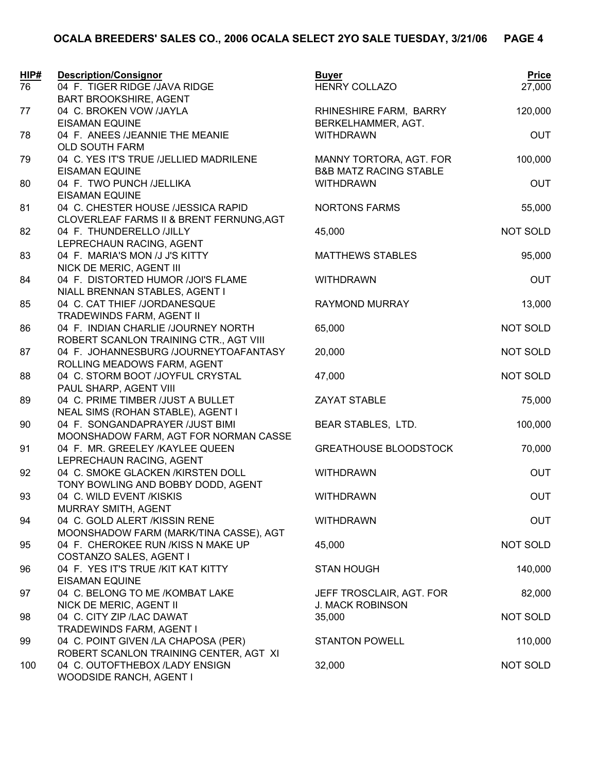| HIP# | <b>Description/Consignor</b>                                | <b>Buyer</b>                      | Price           |
|------|-------------------------------------------------------------|-----------------------------------|-----------------|
| 76   | 04 F. TIGER RIDGE /JAVA RIDGE                               | <b>HENRY COLLAZO</b>              | 27,000          |
|      | <b>BART BROOKSHIRE, AGENT</b>                               |                                   |                 |
| 77   | 04 C. BROKEN VOW /JAYLA                                     | RHINESHIRE FARM, BARRY            | 120,000         |
|      | <b>EISAMAN EQUINE</b>                                       | BERKELHAMMER, AGT.                |                 |
| 78   | 04 F. ANEES /JEANNIE THE MEANIE                             | <b>WITHDRAWN</b>                  | <b>OUT</b>      |
|      | OLD SOUTH FARM                                              |                                   |                 |
| 79   | 04 C. YES IT'S TRUE /JELLIED MADRILENE                      | MANNY TORTORA, AGT. FOR           | 100,000         |
|      | <b>EISAMAN EQUINE</b>                                       | <b>B&amp;B MATZ RACING STABLE</b> |                 |
| 80   | 04 F. TWO PUNCH / JELLIKA<br><b>EISAMAN EQUINE</b>          | <b>WITHDRAWN</b>                  | OUT             |
| 81   | 04 C. CHESTER HOUSE /JESSICA RAPID                          | <b>NORTONS FARMS</b>              | 55,000          |
|      | CLOVERLEAF FARMS II & BRENT FERNUNG, AGT                    |                                   |                 |
| 82   | 04 F. THUNDERELLO /JILLY                                    | 45,000                            | <b>NOT SOLD</b> |
|      | LEPRECHAUN RACING, AGENT                                    |                                   |                 |
| 83   | 04 F. MARIA'S MON /J J'S KITTY                              | <b>MATTHEWS STABLES</b>           | 95,000          |
|      | NICK DE MERIC, AGENT III                                    |                                   |                 |
| 84   | 04 F. DISTORTED HUMOR /JOI'S FLAME                          | <b>WITHDRAWN</b>                  | OUT             |
|      | NIALL BRENNAN STABLES, AGENT I                              |                                   |                 |
| 85   | 04 C. CAT THIEF /JORDANESQUE                                | RAYMOND MURRAY                    | 13,000          |
|      | TRADEWINDS FARM, AGENT II                                   |                                   |                 |
| 86   | 04 F. INDIAN CHARLIE /JOURNEY NORTH                         | 65,000                            | <b>NOT SOLD</b> |
|      | ROBERT SCANLON TRAINING CTR., AGT VIII                      |                                   |                 |
| 87   | 04 F. JOHANNESBURG /JOURNEYTOAFANTASY                       | 20,000                            | <b>NOT SOLD</b> |
|      | ROLLING MEADOWS FARM, AGENT                                 |                                   |                 |
| 88   | 04 C. STORM BOOT /JOYFUL CRYSTAL                            | 47,000                            | <b>NOT SOLD</b> |
| 89   | PAUL SHARP, AGENT VIII<br>04 C. PRIME TIMBER /JUST A BULLET | <b>ZAYAT STABLE</b>               | 75,000          |
|      | NEAL SIMS (ROHAN STABLE), AGENT I                           |                                   |                 |
| 90   | 04 F. SONGANDAPRAYER / JUST BIMI                            | BEAR STABLES, LTD.                | 100,000         |
|      | MOONSHADOW FARM, AGT FOR NORMAN CASSE                       |                                   |                 |
| 91   | 04 F. MR. GREELEY /KAYLEE QUEEN                             | <b>GREATHOUSE BLOODSTOCK</b>      | 70,000          |
|      | LEPRECHAUN RACING, AGENT                                    |                                   |                 |
| 92   | 04 C. SMOKE GLACKEN /KIRSTEN DOLL                           | <b>WITHDRAWN</b>                  | OUT             |
|      | TONY BOWLING AND BOBBY DODD, AGENT                          |                                   |                 |
| 93   | 04 C. WILD EVENT /KISKIS                                    | <b>WITHDRAWN</b>                  | <b>OUT</b>      |
|      | MURRAY SMITH, AGENT                                         |                                   |                 |
| 94   | 04 C. GOLD ALERT /KISSIN RENE                               | <b>WITHDRAWN</b>                  | <b>OUT</b>      |
|      | MOONSHADOW FARM (MARK/TINA CASSE), AGT                      |                                   |                 |
| 95   | 04 F. CHEROKEE RUN /KISS N MAKE UP                          | 45,000                            | <b>NOT SOLD</b> |
|      | COSTANZO SALES, AGENT I                                     |                                   |                 |
| 96   | 04 F. YES IT'S TRUE /KIT KAT KITTY<br><b>EISAMAN EQUINE</b> | <b>STAN HOUGH</b>                 | 140,000         |
| 97   | 04 C. BELONG TO ME /KOMBAT LAKE                             | JEFF TROSCLAIR, AGT. FOR          | 82,000          |
|      | NICK DE MERIC, AGENT II                                     | <b>J. MACK ROBINSON</b>           |                 |
| 98   | 04 C. CITY ZIP / LAC DAWAT                                  | 35,000                            | <b>NOT SOLD</b> |
|      | TRADEWINDS FARM, AGENT I                                    |                                   |                 |
| 99   | 04 C. POINT GIVEN /LA CHAPOSA (PER)                         | <b>STANTON POWELL</b>             | 110,000         |
|      | ROBERT SCANLON TRAINING CENTER, AGT XI                      |                                   |                 |
| 100  | 04 C. OUTOFTHEBOX /LADY ENSIGN                              | 32,000                            | <b>NOT SOLD</b> |
|      | WOODSIDE RANCH, AGENT I                                     |                                   |                 |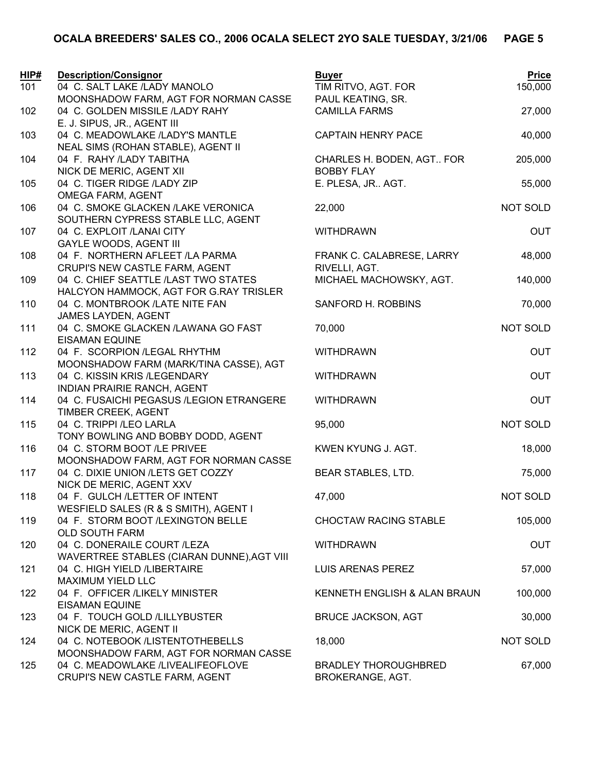| HIP#<br>101 | <b>Description/Consignor</b><br>04 C. SALT LAKE /LADY MANOLO                   | <b>Buyer</b><br>TIM RITVO, AGT. FOR             | <b>Price</b><br>150,000 |
|-------------|--------------------------------------------------------------------------------|-------------------------------------------------|-------------------------|
|             | MOONSHADOW FARM, AGT FOR NORMAN CASSE                                          | PAUL KEATING, SR.                               |                         |
| 102         | 04 C. GOLDEN MISSILE /LADY RAHY<br>E. J. SIPUS, JR., AGENT III                 | <b>CAMILLA FARMS</b>                            | 27,000                  |
| 103         | 04 C. MEADOWLAKE /LADY'S MANTLE<br>NEAL SIMS (ROHAN STABLE), AGENT II          | <b>CAPTAIN HENRY PACE</b>                       | 40,000                  |
| 104         | 04 F. RAHY /LADY TABITHA<br>NICK DE MERIC, AGENT XII                           | CHARLES H. BODEN, AGT FOR<br><b>BOBBY FLAY</b>  | 205,000                 |
| 105         | 04 C. TIGER RIDGE /LADY ZIP<br><b>OMEGA FARM, AGENT</b>                        | E. PLESA, JR AGT.                               | 55,000                  |
| 106         | 04 C. SMOKE GLACKEN /LAKE VERONICA<br>SOUTHERN CYPRESS STABLE LLC, AGENT       | 22,000                                          | <b>NOT SOLD</b>         |
| 107         | 04 C. EXPLOIT /LANAI CITY<br><b>GAYLE WOODS, AGENT III</b>                     | <b>WITHDRAWN</b>                                | <b>OUT</b>              |
| 108         | 04 F. NORTHERN AFLEET /LA PARMA<br>CRUPI'S NEW CASTLE FARM, AGENT              | FRANK C. CALABRESE, LARRY<br>RIVELLI, AGT.      | 48,000                  |
| 109         | 04 C. CHIEF SEATTLE /LAST TWO STATES<br>HALCYON HAMMOCK, AGT FOR G.RAY TRISLER | MICHAEL MACHOWSKY, AGT.                         | 140,000                 |
| 110         | 04 C. MONTBROOK /LATE NITE FAN<br>JAMES LAYDEN, AGENT                          | SANFORD H. ROBBINS                              | 70,000                  |
| 111         | 04 C. SMOKE GLACKEN /LAWANA GO FAST<br><b>EISAMAN EQUINE</b>                   | 70,000                                          | NOT SOLD                |
| 112         | 04 F. SCORPION /LEGAL RHYTHM<br>MOONSHADOW FARM (MARK/TINA CASSE), AGT         | <b>WITHDRAWN</b>                                | <b>OUT</b>              |
| 113         | 04 C. KISSIN KRIS /LEGENDARY<br><b>INDIAN PRAIRIE RANCH, AGENT</b>             | <b>WITHDRAWN</b>                                | <b>OUT</b>              |
| 114         | 04 C. FUSAICHI PEGASUS /LEGION ETRANGERE<br>TIMBER CREEK, AGENT                | <b>WITHDRAWN</b>                                | <b>OUT</b>              |
| 115         | 04 C. TRIPPI / LEO LARLA<br>TONY BOWLING AND BOBBY DODD, AGENT                 | 95,000                                          | <b>NOT SOLD</b>         |
| 116         | 04 C. STORM BOOT /LE PRIVEE<br>MOONSHADOW FARM, AGT FOR NORMAN CASSE           | KWEN KYUNG J. AGT.                              | 18,000                  |
| 117         | 04 C. DIXIE UNION /LETS GET COZZY<br>NICK DE MERIC, AGENT XXV                  | BEAR STABLES, LTD.                              | 75,000                  |
| 118         | 04 F. GULCH /LETTER OF INTENT<br>WESFIELD SALES (R & S SMITH), AGENT I         | 47,000                                          | <b>NOT SOLD</b>         |
| 119         | 04 F. STORM BOOT /LEXINGTON BELLE<br><b>OLD SOUTH FARM</b>                     | <b>CHOCTAW RACING STABLE</b>                    | 105,000                 |
| 120         | 04 C. DONERAILE COURT /LEZA<br>WAVERTREE STABLES (CIARAN DUNNE), AGT VIII      | <b>WITHDRAWN</b>                                | <b>OUT</b>              |
| 121         | 04 C. HIGH YIELD /LIBERTAIRE<br><b>MAXIMUM YIELD LLC</b>                       | LUIS ARENAS PEREZ                               | 57,000                  |
| 122         | 04 F. OFFICER /LIKELY MINISTER<br><b>EISAMAN EQUINE</b>                        | KENNETH ENGLISH & ALAN BRAUN                    | 100,000                 |
| 123         | 04 F. TOUCH GOLD /LILLYBUSTER<br>NICK DE MERIC, AGENT II                       | <b>BRUCE JACKSON, AGT</b>                       | 30,000                  |
| 124         | 04 C. NOTEBOOK /LISTENTOTHEBELLS<br>MOONSHADOW FARM, AGT FOR NORMAN CASSE      | 18,000                                          | <b>NOT SOLD</b>         |
| 125         | 04 C. MEADOWLAKE /LIVEALIFEOFLOVE<br>CRUPI'S NEW CASTLE FARM, AGENT            | <b>BRADLEY THOROUGHBRED</b><br>BROKERANGE, AGT. | 67,000                  |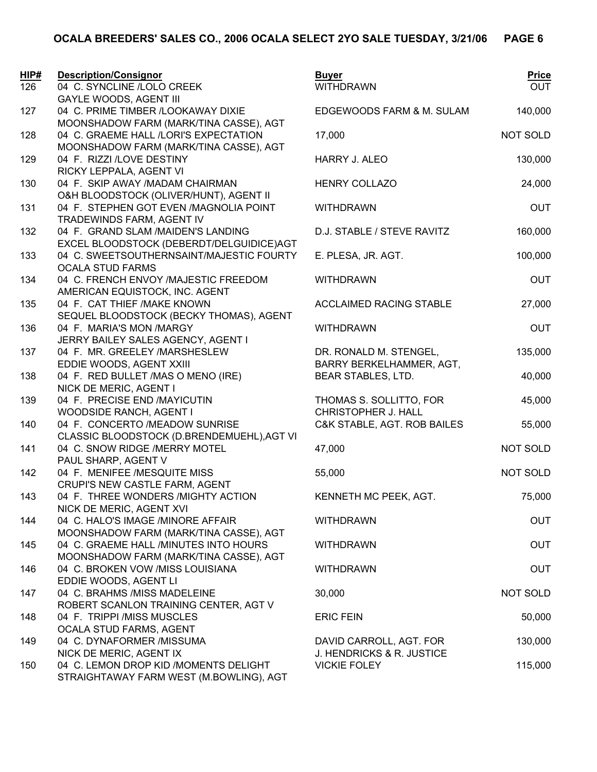| HIP# | <b>Description/Consignor</b>                                                         | <b>Buyer</b>                                   | <b>Price</b> |
|------|--------------------------------------------------------------------------------------|------------------------------------------------|--------------|
| 126  | 04 C. SYNCLINE /LOLO CREEK                                                           | <b>WITHDRAWN</b>                               | <b>OUT</b>   |
|      | <b>GAYLE WOODS, AGENT III</b>                                                        |                                                |              |
| 127  | 04 C. PRIME TIMBER /LOOKAWAY DIXIE                                                   | EDGEWOODS FARM & M. SULAM                      | 140,000      |
| 128  | MOONSHADOW FARM (MARK/TINA CASSE), AGT<br>04 C. GRAEME HALL /LORI'S EXPECTATION      | 17,000                                         | NOT SOLD     |
|      | MOONSHADOW FARM (MARK/TINA CASSE), AGT                                               |                                                |              |
| 129  | 04 F. RIZZI /LOVE DESTINY                                                            | HARRY J. ALEO                                  | 130,000      |
|      | RICKY LEPPALA, AGENT VI                                                              |                                                |              |
| 130  | 04 F. SKIP AWAY /MADAM CHAIRMAN                                                      | <b>HENRY COLLAZO</b>                           | 24,000       |
|      | O&H BLOODSTOCK (OLIVER/HUNT), AGENT II                                               |                                                |              |
| 131  | 04 F. STEPHEN GOT EVEN / MAGNOLIA POINT                                              | <b>WITHDRAWN</b>                               | <b>OUT</b>   |
|      | TRADEWINDS FARM, AGENT IV                                                            |                                                |              |
| 132  | 04 F. GRAND SLAM /MAIDEN'S LANDING                                                   | D.J. STABLE / STEVE RAVITZ                     | 160,000      |
| 133  | EXCEL BLOODSTOCK (DEBERDT/DELGUIDICE)AGT<br>04 C. SWEETSOUTHERNSAINT/MAJESTIC FOURTY | E. PLESA, JR. AGT.                             | 100,000      |
|      | <b>OCALA STUD FARMS</b>                                                              |                                                |              |
| 134  | 04 C. FRENCH ENVOY /MAJESTIC FREEDOM                                                 | <b>WITHDRAWN</b>                               | <b>OUT</b>   |
|      | AMERICAN EQUISTOCK, INC. AGENT                                                       |                                                |              |
| 135  | 04 F. CAT THIEF / MAKE KNOWN                                                         | <b>ACCLAIMED RACING STABLE</b>                 | 27,000       |
|      | SEQUEL BLOODSTOCK (BECKY THOMAS), AGENT                                              |                                                |              |
| 136  | 04 F. MARIA'S MON /MARGY                                                             | <b>WITHDRAWN</b>                               | <b>OUT</b>   |
|      | JERRY BAILEY SALES AGENCY, AGENT I                                                   |                                                |              |
| 137  | 04 F. MR. GREELEY /MARSHESLEW                                                        | DR. RONALD M. STENGEL,                         | 135,000      |
| 138  | EDDIE WOODS, AGENT XXIII<br>04 F. RED BULLET / MAS O MENO (IRE)                      | BARRY BERKELHAMMER, AGT,<br>BEAR STABLES, LTD. | 40,000       |
|      | NICK DE MERIC, AGENT I                                                               |                                                |              |
| 139  | 04 F. PRECISE END /MAYICUTIN                                                         | THOMAS S. SOLLITTO, FOR                        | 45,000       |
|      | WOODSIDE RANCH, AGENT I                                                              | CHRISTOPHER J. HALL                            |              |
| 140  | 04 F. CONCERTO /MEADOW SUNRISE                                                       | C&K STABLE, AGT. ROB BAILES                    | 55,000       |
|      | CLASSIC BLOODSTOCK (D.BRENDEMUEHL), AGT VI                                           |                                                |              |
| 141  | 04 C. SNOW RIDGE /MERRY MOTEL                                                        | 47,000                                         | NOT SOLD     |
|      | PAUL SHARP, AGENT V                                                                  |                                                |              |
| 142  | 04 F. MENIFEE /MESQUITE MISS                                                         | 55,000                                         | NOT SOLD     |
| 143  | CRUPI'S NEW CASTLE FARM, AGENT<br>04 F. THREE WONDERS /MIGHTY ACTION                 | KENNETH MC PEEK, AGT.                          | 75,000       |
|      | NICK DE MERIC, AGENT XVI                                                             |                                                |              |
| 144  | 04 C. HALO'S IMAGE /MINORE AFFAIR                                                    | <b>WITHDRAWN</b>                               | <b>OUT</b>   |
|      | MOONSHADOW FARM (MARK/TINA CASSE), AGT                                               |                                                |              |
| 145  | 04 C. GRAEME HALL /MINUTES INTO HOURS                                                | <b>WITHDRAWN</b>                               | <b>OUT</b>   |
|      | MOONSHADOW FARM (MARK/TINA CASSE), AGT                                               |                                                |              |
| 146  | 04 C. BROKEN VOW /MISS LOUISIANA                                                     | <b>WITHDRAWN</b>                               | <b>OUT</b>   |
|      | EDDIE WOODS, AGENT LI                                                                |                                                |              |
| 147  | 04 C. BRAHMS /MISS MADELEINE<br>ROBERT SCANLON TRAINING CENTER, AGT V                | 30,000                                         | NOT SOLD     |
| 148  | 04 F. TRIPPI /MISS MUSCLES                                                           | <b>ERIC FEIN</b>                               | 50,000       |
|      | OCALA STUD FARMS, AGENT                                                              |                                                |              |
| 149  | 04 C. DYNAFORMER /MISSUMA                                                            | DAVID CARROLL, AGT. FOR                        | 130,000      |
|      | NICK DE MERIC, AGENT IX                                                              | J. HENDRICKS & R. JUSTICE                      |              |
| 150  | 04 C. LEMON DROP KID /MOMENTS DELIGHT                                                | <b>VICKIE FOLEY</b>                            | 115,000      |
|      | STRAIGHTAWAY FARM WEST (M.BOWLING), AGT                                              |                                                |              |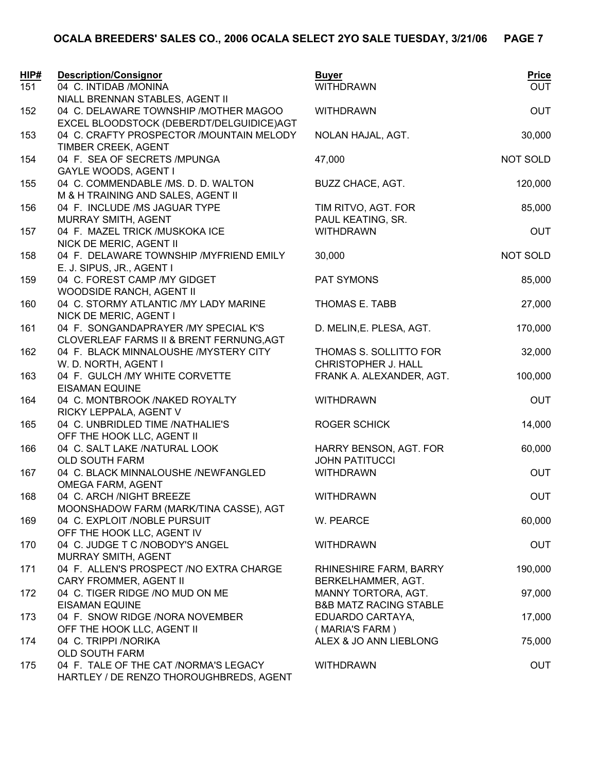| HIP# | <b>Description/Consignor</b>                                                          | <b>Buyer</b>                                             | <b>Price</b>    |
|------|---------------------------------------------------------------------------------------|----------------------------------------------------------|-----------------|
| 151  | 04 C. INTIDAB / MONINA<br>NIALL BRENNAN STABLES, AGENT II                             | <b>WITHDRAWN</b>                                         | <b>OUT</b>      |
| 152  | 04 C. DELAWARE TOWNSHIP / MOTHER MAGOO                                                | <b>WITHDRAWN</b>                                         | <b>OUT</b>      |
| 153  | EXCEL BLOODSTOCK (DEBERDT/DELGUIDICE)AGT<br>04 C. CRAFTY PROSPECTOR / MOUNTAIN MELODY | NOLAN HAJAL, AGT.                                        | 30,000          |
| 154  | TIMBER CREEK, AGENT<br>04 F. SEA OF SECRETS /MPUNGA<br><b>GAYLE WOODS, AGENT I</b>    | 47,000                                                   | <b>NOT SOLD</b> |
| 155  | 04 C. COMMENDABLE /MS. D. D. WALTON<br>M & H TRAINING AND SALES, AGENT II             | BUZZ CHACE, AGT.                                         | 120,000         |
| 156  | 04 F. INCLUDE /MS JAGUAR TYPE<br>MURRAY SMITH, AGENT                                  | TIM RITVO, AGT. FOR<br>PAUL KEATING, SR.                 | 85,000          |
| 157  | 04 F. MAZEL TRICK /MUSKOKA ICE<br>NICK DE MERIC, AGENT II                             | <b>WITHDRAWN</b>                                         | <b>OUT</b>      |
| 158  | 04 F. DELAWARE TOWNSHIP / MYFRIEND EMILY<br>E. J. SIPUS, JR., AGENT I                 | 30,000                                                   | NOT SOLD        |
| 159  | 04 C. FOREST CAMP / MY GIDGET<br>WOODSIDE RANCH, AGENT II                             | PAT SYMONS                                               | 85,000          |
| 160  | 04 C. STORMY ATLANTIC /MY LADY MARINE<br>NICK DE MERIC, AGENT I                       | THOMAS E. TABB                                           | 27,000          |
| 161  | 04 F. SONGANDAPRAYER /MY SPECIAL K'S<br>CLOVERLEAF FARMS II & BRENT FERNUNG, AGT      | D. MELIN, E. PLESA, AGT.                                 | 170,000         |
| 162  | 04 F. BLACK MINNALOUSHE /MYSTERY CITY<br>W. D. NORTH, AGENT I                         | THOMAS S. SOLLITTO FOR<br>CHRISTOPHER J. HALL            | 32,000          |
| 163  | 04 F. GULCH /MY WHITE CORVETTE<br><b>EISAMAN EQUINE</b>                               | FRANK A. ALEXANDER, AGT.                                 | 100,000         |
| 164  | 04 C. MONTBROOK /NAKED ROYALTY<br>RICKY LEPPALA, AGENT V                              | <b>WITHDRAWN</b>                                         | <b>OUT</b>      |
| 165  | 04 C. UNBRIDLED TIME /NATHALIE'S<br>OFF THE HOOK LLC, AGENT II                        | <b>ROGER SCHICK</b>                                      | 14,000          |
| 166  | 04 C. SALT LAKE /NATURAL LOOK<br>OLD SOUTH FARM                                       | HARRY BENSON, AGT. FOR<br><b>JOHN PATITUCCI</b>          | 60,000          |
| 167  | 04 C. BLACK MINNALOUSHE /NEWFANGLED<br><b>OMEGA FARM, AGENT</b>                       | <b>WITHDRAWN</b>                                         | <b>OUT</b>      |
| 168  | 04 C. ARCH /NIGHT BREEZE<br>MOONSHADOW FARM (MARK/TINA CASSE), AGT                    | <b>WITHDRAWN</b>                                         | <b>OUT</b>      |
| 169  | 04 C. EXPLOIT /NOBLE PURSUIT<br>OFF THE HOOK LLC, AGENT IV                            | W. PEARCE                                                | 60,000          |
| 170  | 04 C. JUDGE T C /NOBODY'S ANGEL<br>MURRAY SMITH, AGENT                                | <b>WITHDRAWN</b>                                         | <b>OUT</b>      |
| 171  | 04 F. ALLEN'S PROSPECT / NO EXTRA CHARGE<br>CARY FROMMER, AGENT II                    | RHINESHIRE FARM, BARRY<br>BERKELHAMMER, AGT.             | 190,000         |
| 172  | 04 C. TIGER RIDGE /NO MUD ON ME<br><b>EISAMAN EQUINE</b>                              | MANNY TORTORA, AGT.<br><b>B&amp;B MATZ RACING STABLE</b> | 97,000          |
| 173  | 04 F. SNOW RIDGE /NORA NOVEMBER<br>OFF THE HOOK LLC, AGENT II                         | EDUARDO CARTAYA,<br>(MARIA'S FARM)                       | 17,000          |
| 174  | 04 C. TRIPPI / NORIKA<br>OLD SOUTH FARM                                               | ALEX & JO ANN LIEBLONG                                   | 75,000          |
| 175  | 04 F. TALE OF THE CAT /NORMA'S LEGACY<br>HARTLEY / DE RENZO THOROUGHBREDS, AGENT      | <b>WITHDRAWN</b>                                         | <b>OUT</b>      |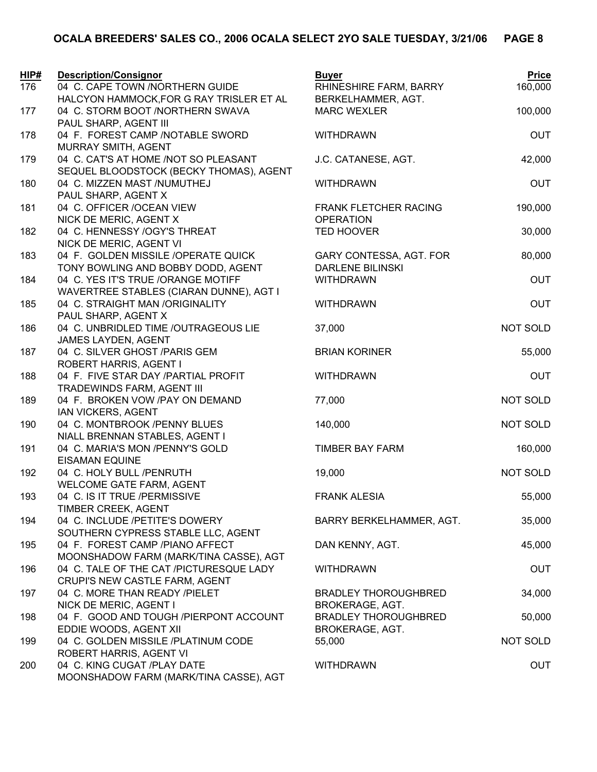| HIP# | <b>Description/Consignor</b>                                               | <b>Buyer</b>                                          | <b>Price</b>    |
|------|----------------------------------------------------------------------------|-------------------------------------------------------|-----------------|
| 176  | 04 C. CAPE TOWN /NORTHERN GUIDE                                            | RHINESHIRE FARM, BARRY                                | 160,000         |
|      | HALCYON HAMMOCK, FOR G RAY TRISLER ET AL                                   | BERKELHAMMER, AGT.                                    |                 |
| 177  | 04 C. STORM BOOT /NORTHERN SWAVA<br>PAUL SHARP, AGENT III                  | <b>MARC WEXLER</b>                                    | 100,000         |
| 178  | 04 F. FOREST CAMP /NOTABLE SWORD                                           | <b>WITHDRAWN</b>                                      | <b>OUT</b>      |
|      | MURRAY SMITH, AGENT                                                        |                                                       |                 |
| 179  | 04 C. CAT'S AT HOME /NOT SO PLEASANT                                       | J.C. CATANESE, AGT.                                   | 42,000          |
|      | SEQUEL BLOODSTOCK (BECKY THOMAS), AGENT                                    |                                                       |                 |
| 180  | 04 C. MIZZEN MAST /NUMUTHEJ                                                | <b>WITHDRAWN</b>                                      | <b>OUT</b>      |
|      | PAUL SHARP, AGENT X                                                        |                                                       |                 |
| 181  | 04 C. OFFICER / OCEAN VIEW                                                 | <b>FRANK FLETCHER RACING</b>                          | 190,000         |
|      | NICK DE MERIC, AGENT X                                                     | <b>OPERATION</b>                                      |                 |
| 182  | 04 C. HENNESSY /OGY'S THREAT                                               | <b>TED HOOVER</b>                                     | 30,000          |
|      | NICK DE MERIC, AGENT VI                                                    |                                                       |                 |
| 183  | 04 F. GOLDEN MISSILE /OPERATE QUICK                                        | GARY CONTESSA, AGT. FOR                               | 80,000          |
|      | TONY BOWLING AND BOBBY DODD, AGENT                                         | <b>DARLENE BILINSKI</b>                               |                 |
| 184  | 04 C. YES IT'S TRUE /ORANGE MOTIFF                                         | <b>WITHDRAWN</b>                                      | <b>OUT</b>      |
| 185  | WAVERTREE STABLES (CIARAN DUNNE), AGT I<br>04 C. STRAIGHT MAN /ORIGINALITY | <b>WITHDRAWN</b>                                      | <b>OUT</b>      |
|      | PAUL SHARP, AGENT X                                                        |                                                       |                 |
| 186  | 04 C. UNBRIDLED TIME /OUTRAGEOUS LIE                                       | 37,000                                                | NOT SOLD        |
|      | JAMES LAYDEN, AGENT                                                        |                                                       |                 |
| 187  | 04 C. SILVER GHOST / PARIS GEM                                             | <b>BRIAN KORINER</b>                                  | 55,000          |
|      | ROBERT HARRIS, AGENT I                                                     |                                                       |                 |
| 188  | 04 F. FIVE STAR DAY /PARTIAL PROFIT                                        | <b>WITHDRAWN</b>                                      | <b>OUT</b>      |
|      | TRADEWINDS FARM, AGENT III                                                 |                                                       |                 |
| 189  | 04 F. BROKEN VOW /PAY ON DEMAND                                            | 77,000                                                | <b>NOT SOLD</b> |
|      | IAN VICKERS, AGENT                                                         |                                                       |                 |
| 190  | 04 C. MONTBROOK /PENNY BLUES                                               | 140,000                                               | <b>NOT SOLD</b> |
|      | NIALL BRENNAN STABLES, AGENT I                                             |                                                       |                 |
| 191  | 04 C. MARIA'S MON /PENNY'S GOLD<br><b>EISAMAN EQUINE</b>                   | <b>TIMBER BAY FARM</b>                                | 160,000         |
| 192  | 04 C. HOLY BULL /PENRUTH                                                   | 19,000                                                | NOT SOLD        |
|      | WELCOME GATE FARM, AGENT                                                   |                                                       |                 |
| 193  | 04 C. IS IT TRUE /PERMISSIVE                                               | <b>FRANK ALESIA</b>                                   | 55,000          |
|      | TIMBER CREEK, AGENT                                                        |                                                       |                 |
| 194  | 04 C. INCLUDE /PETITE'S DOWERY                                             | BARRY BERKELHAMMER, AGT.                              | 35,000          |
|      | SOUTHERN CYPRESS STABLE LLC, AGENT                                         |                                                       |                 |
| 195  | 04 F. FOREST CAMP /PIANO AFFECT                                            | DAN KENNY, AGT.                                       | 45,000          |
|      | MOONSHADOW FARM (MARK/TINA CASSE), AGT                                     |                                                       |                 |
| 196  | 04 C. TALE OF THE CAT /PICTURESQUE LADY                                    | <b>WITHDRAWN</b>                                      | <b>OUT</b>      |
|      | CRUPI'S NEW CASTLE FARM, AGENT                                             |                                                       |                 |
| 197  | 04 C. MORE THAN READY /PIELET<br>NICK DE MERIC, AGENT I                    | <b>BRADLEY THOROUGHBRED</b><br><b>BROKERAGE, AGT.</b> | 34,000          |
| 198  | 04 F. GOOD AND TOUGH /PIERPONT ACCOUNT                                     | <b>BRADLEY THOROUGHBRED</b>                           | 50,000          |
|      | EDDIE WOODS, AGENT XII                                                     | <b>BROKERAGE, AGT.</b>                                |                 |
| 199  | 04 C. GOLDEN MISSILE /PLATINUM CODE                                        | 55,000                                                | <b>NOT SOLD</b> |
|      | ROBERT HARRIS, AGENT VI                                                    |                                                       |                 |
| 200  | 04 C. KING CUGAT /PLAY DATE                                                | <b>WITHDRAWN</b>                                      | OUT             |
|      | MOONSHADOW FARM (MARK/TINA CASSE), AGT                                     |                                                       |                 |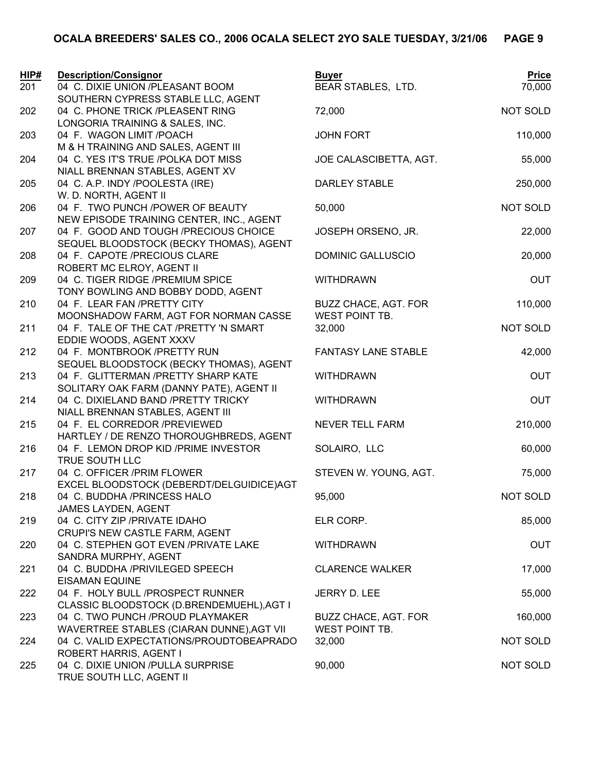| <b>HIP#</b> | <b>Description/Consignor</b>                                           | <b>Buyer</b>               | <b>Price</b> |
|-------------|------------------------------------------------------------------------|----------------------------|--------------|
| 201         | 04 C. DIXIE UNION /PLEASANT BOOM                                       | BEAR STABLES, LTD.         | 70,000       |
|             | SOUTHERN CYPRESS STABLE LLC, AGENT                                     |                            |              |
| 202         | 04 C. PHONE TRICK /PLEASENT RING                                       | 72,000                     | NOT SOLD     |
|             | LONGORIA TRAINING & SALES, INC.                                        |                            |              |
| 203         | 04 F. WAGON LIMIT /POACH                                               | <b>JOHN FORT</b>           | 110,000      |
|             | M & H TRAINING AND SALES, AGENT III                                    |                            |              |
| 204         | 04 C. YES IT'S TRUE /POLKA DOT MISS<br>NIALL BRENNAN STABLES, AGENT XV | JOE CALASCIBETTA, AGT.     | 55,000       |
| 205         | 04 C. A.P. INDY /POOLESTA (IRE)                                        | DARLEY STABLE              | 250,000      |
|             | W. D. NORTH, AGENT II                                                  |                            |              |
| 206         | 04 F. TWO PUNCH /POWER OF BEAUTY                                       | 50,000                     | NOT SOLD     |
|             | NEW EPISODE TRAINING CENTER, INC., AGENT                               |                            |              |
| 207         | 04 F. GOOD AND TOUGH /PRECIOUS CHOICE                                  | JOSEPH ORSENO, JR.         | 22,000       |
|             | SEQUEL BLOODSTOCK (BECKY THOMAS), AGENT                                |                            |              |
| 208         | 04 F. CAPOTE /PRECIOUS CLARE                                           | <b>DOMINIC GALLUSCIO</b>   | 20,000       |
|             | ROBERT MC ELROY, AGENT II                                              |                            |              |
| 209         | 04 C. TIGER RIDGE /PREMIUM SPICE                                       | <b>WITHDRAWN</b>           | <b>OUT</b>   |
|             | TONY BOWLING AND BOBBY DODD, AGENT                                     |                            |              |
| 210         | 04 F. LEAR FAN /PRETTY CITY                                            | BUZZ CHACE, AGT. FOR       | 110,000      |
|             | MOONSHADOW FARM, AGT FOR NORMAN CASSE                                  | <b>WEST POINT TB.</b>      |              |
| 211         | 04 F. TALE OF THE CAT /PRETTY 'N SMART                                 | 32,000                     | NOT SOLD     |
| 212         | EDDIE WOODS, AGENT XXXV                                                | <b>FANTASY LANE STABLE</b> |              |
|             | 04 F. MONTBROOK /PRETTY RUN<br>SEQUEL BLOODSTOCK (BECKY THOMAS), AGENT |                            | 42,000       |
| 213         | 04 F. GLITTERMAN /PRETTY SHARP KATE                                    | <b>WITHDRAWN</b>           | <b>OUT</b>   |
|             | SOLITARY OAK FARM (DANNY PATE), AGENT II                               |                            |              |
| 214         | 04 C. DIXIELAND BAND /PRETTY TRICKY                                    | <b>WITHDRAWN</b>           | <b>OUT</b>   |
|             | NIALL BRENNAN STABLES, AGENT III                                       |                            |              |
| 215         | 04 F. EL CORREDOR /PREVIEWED                                           | <b>NEVER TELL FARM</b>     | 210,000      |
|             | HARTLEY / DE RENZO THOROUGHBREDS, AGENT                                |                            |              |
| 216         | 04 F. LEMON DROP KID / PRIME INVESTOR                                  | SOLAIRO, LLC               | 60,000       |
|             | TRUE SOUTH LLC                                                         |                            |              |
| 217         | 04 C. OFFICER / PRIM FLOWER                                            | STEVEN W. YOUNG, AGT.      | 75,000       |
|             | EXCEL BLOODSTOCK (DEBERDT/DELGUIDICE)AGT                               |                            |              |
| 218         | 04 C. BUDDHA /PRINCESS HALO                                            | 95,000                     | NOT SOLD     |
| 219         | JAMES LAYDEN, AGENT<br>04 C. CITY ZIP / PRIVATE IDAHO                  | ELR CORP.                  | 85,000       |
|             | CRUPI'S NEW CASTLE FARM, AGENT                                         |                            |              |
| 220         | 04 C. STEPHEN GOT EVEN / PRIVATE LAKE                                  | <b>WITHDRAWN</b>           | <b>OUT</b>   |
|             | SANDRA MURPHY, AGENT                                                   |                            |              |
| 221         | 04 C. BUDDHA /PRIVILEGED SPEECH                                        | <b>CLARENCE WALKER</b>     | 17,000       |
|             | <b>EISAMAN EQUINE</b>                                                  |                            |              |
| 222         | 04 F. HOLY BULL /PROSPECT RUNNER                                       | JERRY D. LEE               | 55,000       |
|             | CLASSIC BLOODSTOCK (D.BRENDEMUEHL), AGT I                              |                            |              |
| 223         | 04 C. TWO PUNCH /PROUD PLAYMAKER                                       | BUZZ CHACE, AGT. FOR       | 160,000      |
|             | WAVERTREE STABLES (CIARAN DUNNE), AGT VII                              | <b>WEST POINT TB.</b>      |              |
| 224         | 04 C. VALID EXPECTATIONS/PROUDTOBEAPRADO                               | 32,000                     | NOT SOLD     |
|             | ROBERT HARRIS, AGENT I                                                 |                            |              |
| 225         | 04 C. DIXIE UNION /PULLA SURPRISE                                      | 90,000                     | NOT SOLD     |
|             | TRUE SOUTH LLC, AGENT II                                               |                            |              |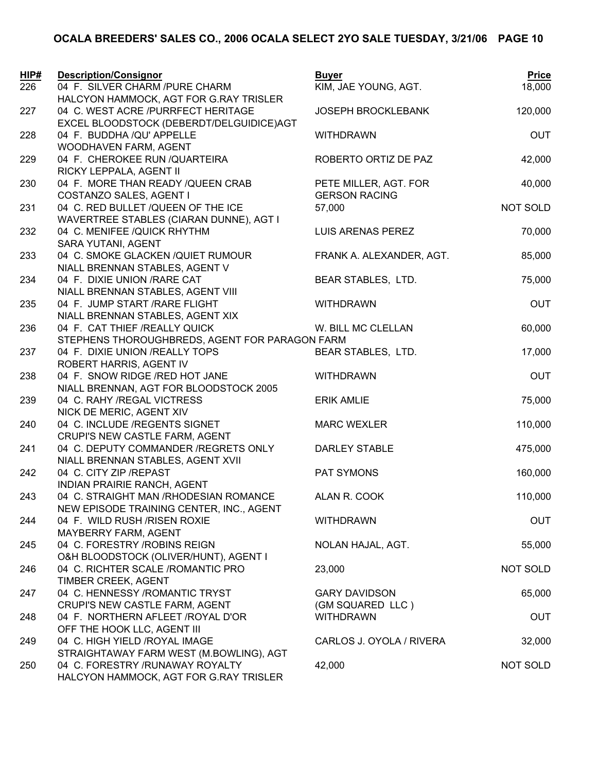| HIP# | <b>Description/Consignor</b>                          | <b>Buyer</b>              | <b>Price</b>    |
|------|-------------------------------------------------------|---------------------------|-----------------|
| 226  | 04 F. SILVER CHARM /PURE CHARM                        | KIM, JAE YOUNG, AGT.      | 18,000          |
|      | HALCYON HAMMOCK, AGT FOR G.RAY TRISLER                |                           |                 |
| 227  | 04 C. WEST ACRE /PURRFECT HERITAGE                    | <b>JOSEPH BROCKLEBANK</b> | 120,000         |
|      | EXCEL BLOODSTOCK (DEBERDT/DELGUIDICE)AGT              |                           |                 |
| 228  | 04 F. BUDDHA /QU' APPELLE                             | <b>WITHDRAWN</b>          | OUT             |
|      | WOODHAVEN FARM, AGENT                                 |                           |                 |
| 229  | 04 F. CHEROKEE RUN / QUARTEIRA                        | ROBERTO ORTIZ DE PAZ      | 42,000          |
|      | RICKY LEPPALA, AGENT II                               |                           |                 |
| 230  | 04 F. MORE THAN READY / QUEEN CRAB                    | PETE MILLER, AGT. FOR     | 40,000          |
|      | COSTANZO SALES, AGENT I                               | <b>GERSON RACING</b>      |                 |
| 231  | 04 C. RED BULLET /QUEEN OF THE ICE                    | 57,000                    | NOT SOLD        |
|      | WAVERTREE STABLES (CIARAN DUNNE), AGT I               |                           |                 |
| 232  | 04 C. MENIFEE /QUICK RHYTHM<br>SARA YUTANI, AGENT     | LUIS ARENAS PEREZ         | 70,000          |
| 233  | 04 C. SMOKE GLACKEN / QUIET RUMOUR                    | FRANK A. ALEXANDER, AGT.  | 85,000          |
|      | NIALL BRENNAN STABLES, AGENT V                        |                           |                 |
| 234  | 04 F. DIXIE UNION / RARE CAT                          | BEAR STABLES, LTD.        | 75,000          |
|      | NIALL BRENNAN STABLES, AGENT VIII                     |                           |                 |
| 235  | 04 F. JUMP START / RARE FLIGHT                        | <b>WITHDRAWN</b>          | <b>OUT</b>      |
|      | NIALL BRENNAN STABLES, AGENT XIX                      |                           |                 |
| 236  | 04 F. CAT THIEF /REALLY QUICK                         | W. BILL MC CLELLAN        | 60,000          |
|      | STEPHENS THOROUGHBREDS, AGENT FOR PARAGON FARM        |                           |                 |
| 237  | 04 F. DIXIE UNION /REALLY TOPS                        | BEAR STABLES, LTD.        | 17,000          |
|      | ROBERT HARRIS, AGENT IV                               |                           |                 |
| 238  | 04 F. SNOW RIDGE / RED HOT JANE                       | <b>WITHDRAWN</b>          | <b>OUT</b>      |
|      | NIALL BRENNAN, AGT FOR BLOODSTOCK 2005                |                           |                 |
| 239  | 04 C. RAHY / REGAL VICTRESS                           | <b>ERIK AMLIE</b>         | 75,000          |
|      | NICK DE MERIC, AGENT XIV                              |                           |                 |
| 240  | 04 C. INCLUDE /REGENTS SIGNET                         | <b>MARC WEXLER</b>        | 110,000         |
|      | CRUPI'S NEW CASTLE FARM, AGENT                        |                           |                 |
| 241  | 04 C. DEPUTY COMMANDER /REGRETS ONLY                  | <b>DARLEY STABLE</b>      | 475,000         |
|      | NIALL BRENNAN STABLES, AGENT XVII                     |                           |                 |
| 242  | 04 C. CITY ZIP / REPAST                               | PAT SYMONS                | 160,000         |
|      | INDIAN PRAIRIE RANCH, AGENT                           |                           |                 |
| 243  | 04 C. STRAIGHT MAN / RHODESIAN ROMANCE                | ALAN R. COOK              | 110,000         |
|      | NEW EPISODE TRAINING CENTER, INC., AGENT              |                           |                 |
| 244  | 04 F. WILD RUSH / RISEN ROXIE                         | <b>WITHDRAWN</b>          | <b>OUT</b>      |
|      | MAYBERRY FARM, AGENT<br>04 C. FORESTRY / ROBINS REIGN | NOLAN HAJAL, AGT.         | 55,000          |
| 245  | O&H BLOODSTOCK (OLIVER/HUNT), AGENT I                 |                           |                 |
| 246  | 04 C. RICHTER SCALE /ROMANTIC PRO                     | 23,000                    | <b>NOT SOLD</b> |
|      | TIMBER CREEK, AGENT                                   |                           |                 |
| 247  | 04 C. HENNESSY / ROMANTIC TRYST                       | <b>GARY DAVIDSON</b>      | 65,000          |
|      | CRUPI'S NEW CASTLE FARM, AGENT                        | (GM SQUARED LLC)          |                 |
| 248  | 04 F. NORTHERN AFLEET /ROYAL D'OR                     | <b>WITHDRAWN</b>          | OUT             |
|      | OFF THE HOOK LLC, AGENT III                           |                           |                 |
| 249  | 04 C. HIGH YIELD /ROYAL IMAGE                         | CARLOS J. OYOLA / RIVERA  | 32,000          |
|      | STRAIGHTAWAY FARM WEST (M.BOWLING), AGT               |                           |                 |
| 250  | 04 C. FORESTRY /RUNAWAY ROYALTY                       | 42,000                    | <b>NOT SOLD</b> |
|      | HALCYON HAMMOCK, AGT FOR G.RAY TRISLER                |                           |                 |